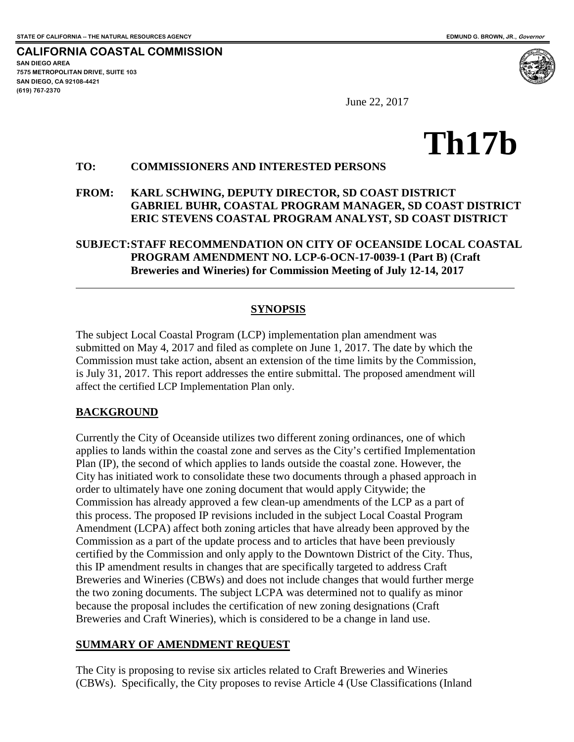**CALIFORNIA COASTAL COMMISSION SAN DIEGO AREA 7575 METROPOLITAN DRIVE, SUITE 103 SAN DIEGO, CA 92108-4421 (619) 767-2370**

 $\overline{a}$ 

June 22, 2017

# **Th17b**

#### **TO: COMMISSIONERS AND INTERESTED PERSONS**

#### **FROM: KARL SCHWING, DEPUTY DIRECTOR, SD COAST DISTRICT GABRIEL BUHR, COASTAL PROGRAM MANAGER, SD COAST DISTRICT ERIC STEVENS COASTAL PROGRAM ANALYST, SD COAST DISTRICT**

## **SUBJECT:STAFF RECOMMENDATION ON CITY OF OCEANSIDE LOCAL COASTAL PROGRAM AMENDMENT NO. LCP-6-OCN-17-0039-1 (Part B) (Craft Breweries and Wineries) for Commission Meeting of July 12-14, 2017**

## **SYNOPSIS**

The subject Local Coastal Program (LCP) implementation plan amendment was submitted on May 4, 2017 and filed as complete on June 1, 2017. The date by which the Commission must take action, absent an extension of the time limits by the Commission, is July 31, 2017. This report addresses the entire submittal. The proposed amendment will affect the certified LCP Implementation Plan only.

## **BACKGROUND**

Currently the City of Oceanside utilizes two different zoning ordinances, one of which applies to lands within the coastal zone and serves as the City's certified Implementation Plan (IP), the second of which applies to lands outside the coastal zone. However, the City has initiated work to consolidate these two documents through a phased approach in order to ultimately have one zoning document that would apply Citywide; the Commission has already approved a few clean-up amendments of the LCP as a part of this process. The proposed IP revisions included in the subject Local Coastal Program Amendment (LCPA) affect both zoning articles that have already been approved by the Commission as a part of the update process and to articles that have been previously certified by the Commission and only apply to the Downtown District of the City. Thus, this IP amendment results in changes that are specifically targeted to address Craft Breweries and Wineries (CBWs) and does not include changes that would further merge the two zoning documents. The subject LCPA was determined not to qualify as minor because the proposal includes the certification of new zoning designations (Craft Breweries and Craft Wineries), which is considered to be a change in land use.

## **SUMMARY OF AMENDMENT REQUEST**

The City is proposing to revise six articles related to Craft Breweries and Wineries (CBWs). Specifically, the City proposes to revise Article 4 (Use Classifications (Inland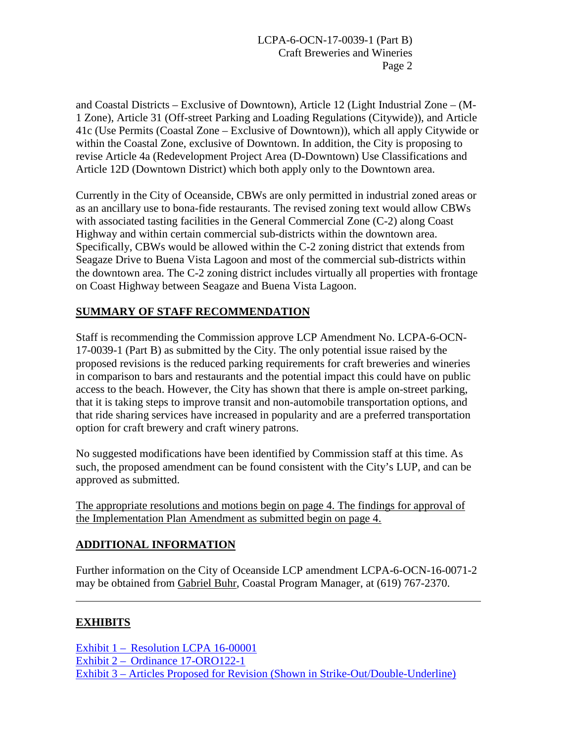and Coastal Districts – Exclusive of Downtown), Article 12 (Light Industrial Zone – (M-1 Zone), Article 31 (Off-street Parking and Loading Regulations (Citywide)), and Article 41c (Use Permits (Coastal Zone – Exclusive of Downtown)), which all apply Citywide or within the Coastal Zone, exclusive of Downtown. In addition, the City is proposing to revise Article 4a (Redevelopment Project Area (D-Downtown) Use Classifications and Article 12D (Downtown District) which both apply only to the Downtown area.

Currently in the City of Oceanside, CBWs are only permitted in industrial zoned areas or as an ancillary use to bona-fide restaurants. The revised zoning text would allow CBWs with associated tasting facilities in the General Commercial Zone (C-2) along Coast Highway and within certain commercial sub-districts within the downtown area. Specifically, CBWs would be allowed within the C-2 zoning district that extends from Seagaze Drive to Buena Vista Lagoon and most of the commercial sub-districts within the downtown area. The C-2 zoning district includes virtually all properties with frontage on Coast Highway between Seagaze and Buena Vista Lagoon.

# **SUMMARY OF STAFF RECOMMENDATION**

Staff is recommending the Commission approve LCP Amendment No. LCPA-6-OCN-17-0039-1 (Part B) as submitted by the City. The only potential issue raised by the proposed revisions is the reduced parking requirements for craft breweries and wineries in comparison to bars and restaurants and the potential impact this could have on public access to the beach. However, the City has shown that there is ample on-street parking, that it is taking steps to improve transit and non-automobile transportation options, and that ride sharing services have increased in popularity and are a preferred transportation option for craft brewery and craft winery patrons.

No suggested modifications have been identified by Commission staff at this time. As such, the proposed amendment can be found consistent with the City's LUP, and can be approved as submitted.

The appropriate resolutions and motions begin on page 4. The findings for approval of the Implementation Plan Amendment as submitted begin on page 4.

# **ADDITIONAL INFORMATION**

Further information on the City of Oceanside LCP amendment LCPA-6-OCN-16-0071-2 may be obtained from Gabriel Buhr, Coastal Program Manager, at (619) 767-2370.

# **EXHIBITS**

 $\overline{a}$ 

[Exhibit 1 – Resolution LCPA 16-00001](https://documents.coastal.ca.gov/reports/2017/7/Th17b/Th17b-7-2017-exhibits.pdf)  [Exhibit 2 – Ordinance 17-ORO122-1](https://documents.coastal.ca.gov/reports/2017/7/Th17b/Th17b-7-2017-exhibits.pdf)  [Exhibit 3 – Articles Proposed for Revision \(Shown in Strike-Out/Double-Underline\)](https://documents.coastal.ca.gov/reports/2017/7/Th17b/Th17b-7-2017-exhibits.pdf)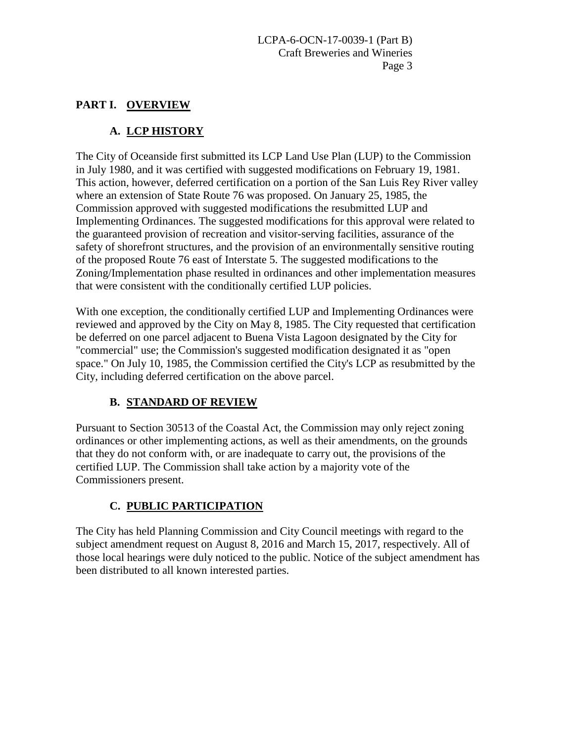## **PART I. OVERVIEW**

# **A. LCP HISTORY**

The City of Oceanside first submitted its LCP Land Use Plan (LUP) to the Commission in July 1980, and it was certified with suggested modifications on February 19, 1981. This action, however, deferred certification on a portion of the San Luis Rey River valley where an extension of State Route 76 was proposed. On January 25, 1985, the Commission approved with suggested modifications the resubmitted LUP and Implementing Ordinances. The suggested modifications for this approval were related to the guaranteed provision of recreation and visitor-serving facilities, assurance of the safety of shorefront structures, and the provision of an environmentally sensitive routing of the proposed Route 76 east of Interstate 5. The suggested modifications to the Zoning/Implementation phase resulted in ordinances and other implementation measures that were consistent with the conditionally certified LUP policies.

With one exception, the conditionally certified LUP and Implementing Ordinances were reviewed and approved by the City on May 8, 1985. The City requested that certification be deferred on one parcel adjacent to Buena Vista Lagoon designated by the City for "commercial" use; the Commission's suggested modification designated it as "open space." On July 10, 1985, the Commission certified the City's LCP as resubmitted by the City, including deferred certification on the above parcel.

# **B. STANDARD OF REVIEW**

Pursuant to Section 30513 of the Coastal Act, the Commission may only reject zoning ordinances or other implementing actions, as well as their amendments, on the grounds that they do not conform with, or are inadequate to carry out, the provisions of the certified LUP. The Commission shall take action by a majority vote of the Commissioners present.

# **C. PUBLIC PARTICIPATION**

The City has held Planning Commission and City Council meetings with regard to the subject amendment request on August 8, 2016 and March 15, 2017, respectively. All of those local hearings were duly noticed to the public. Notice of the subject amendment has been distributed to all known interested parties.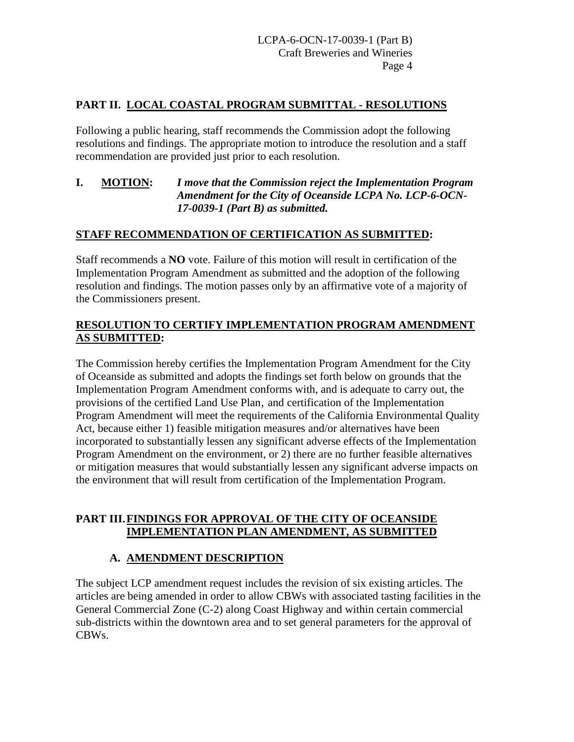## **PART II. LOCAL COASTAL PROGRAM SUBMITTAL - RESOLUTIONS**

Following a public hearing, staff recommends the Commission adopt the following resolutions and findings. The appropriate motion to introduce the resolution and a staff recommendation are provided just prior to each resolution.

#### **I. MOTION:** *I move that the Commission reject the Implementation Program Amendment for the City of Oceanside LCPA No. LCP-6-OCN-17-0039-1 (Part B) as submitted.*

## **STAFF RECOMMENDATION OF CERTIFICATION AS SUBMITTED:**

Staff recommends a **NO** vote. Failure of this motion will result in certification of the Implementation Program Amendment as submitted and the adoption of the following resolution and findings. The motion passes only by an affirmative vote of a majority of the Commissioners present.

## **RESOLUTION TO CERTIFY IMPLEMENTATION PROGRAM AMENDMENT AS SUBMITTED:**

The Commission hereby certifies the Implementation Program Amendment for the City of Oceanside as submitted and adopts the findings set forth below on grounds that the Implementation Program Amendment conforms with, and is adequate to carry out, the provisions of the certified Land Use Plan, and certification of the Implementation Program Amendment will meet the requirements of the California Environmental Quality Act, because either 1) feasible mitigation measures and/or alternatives have been incorporated to substantially lessen any significant adverse effects of the Implementation Program Amendment on the environment, or 2) there are no further feasible alternatives or mitigation measures that would substantially lessen any significant adverse impacts on the environment that will result from certification of the Implementation Program.

#### **PART III.FINDINGS FOR APPROVAL OF THE CITY OF OCEANSIDE IMPLEMENTATION PLAN AMENDMENT, AS SUBMITTED**

## **A. AMENDMENT DESCRIPTION**

The subject LCP amendment request includes the revision of six existing articles. The articles are being amended in order to allow CBWs with associated tasting facilities in the General Commercial Zone (C-2) along Coast Highway and within certain commercial sub-districts within the downtown area and to set general parameters for the approval of CBWs.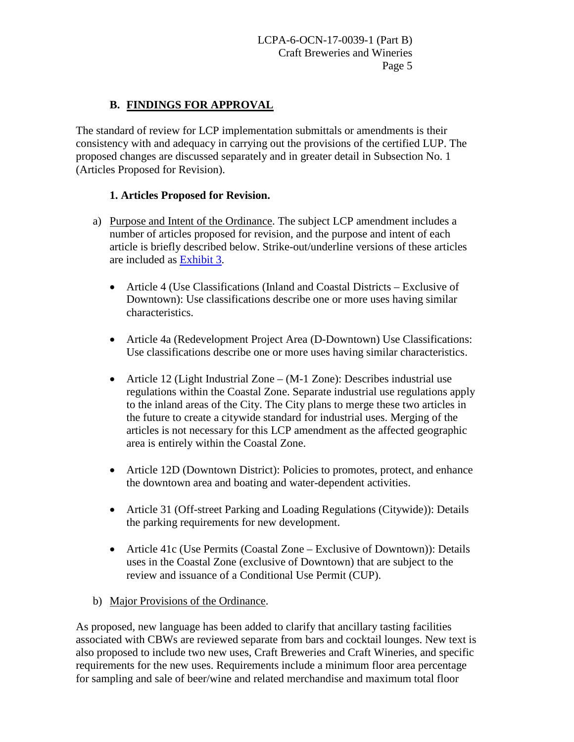## **B. FINDINGS FOR APPROVAL**

The standard of review for LCP implementation submittals or amendments is their consistency with and adequacy in carrying out the provisions of the certified LUP. The proposed changes are discussed separately and in greater detail in Subsection No. 1 (Articles Proposed for Revision).

#### **1. Articles Proposed for Revision.**

- a) Purpose and Intent of the Ordinance. The subject LCP amendment includes a number of articles proposed for revision, and the purpose and intent of each article is briefly described below. Strike-out/underline versions of these articles are included as [Exhibit 3.](https://documents.coastal.ca.gov/reports/2017/7/Th17b/Th17b-7-2017-exhibits.pdf)
	- Article 4 (Use Classifications (Inland and Coastal Districts Exclusive of Downtown): Use classifications describe one or more uses having similar characteristics.
	- Article 4a (Redevelopment Project Area (D-Downtown) Use Classifications: Use classifications describe one or more uses having similar characteristics.
	- Article 12 (Light Industrial Zone (M-1 Zone): Describes industrial use regulations within the Coastal Zone. Separate industrial use regulations apply to the inland areas of the City. The City plans to merge these two articles in the future to create a citywide standard for industrial uses. Merging of the articles is not necessary for this LCP amendment as the affected geographic area is entirely within the Coastal Zone.
	- Article 12D (Downtown District): Policies to promotes, protect, and enhance the downtown area and boating and water-dependent activities.
	- Article 31 (Off-street Parking and Loading Regulations (Citywide)): Details the parking requirements for new development.
	- Article 41c (Use Permits (Coastal Zone Exclusive of Downtown)): Details uses in the Coastal Zone (exclusive of Downtown) that are subject to the review and issuance of a Conditional Use Permit (CUP).
- b) Major Provisions of the Ordinance.

As proposed, new language has been added to clarify that ancillary tasting facilities associated with CBWs are reviewed separate from bars and cocktail lounges. New text is also proposed to include two new uses, Craft Breweries and Craft Wineries, and specific requirements for the new uses. Requirements include a minimum floor area percentage for sampling and sale of beer/wine and related merchandise and maximum total floor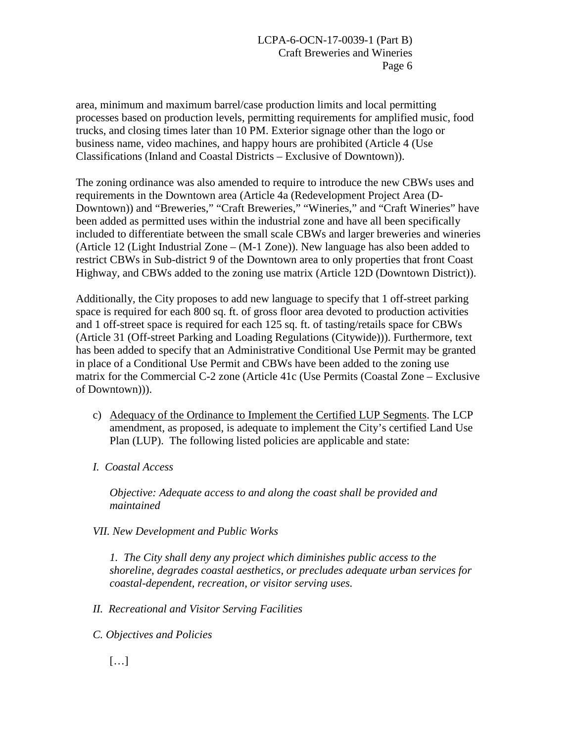area, minimum and maximum barrel/case production limits and local permitting processes based on production levels, permitting requirements for amplified music, food trucks, and closing times later than 10 PM. Exterior signage other than the logo or business name, video machines, and happy hours are prohibited (Article 4 (Use Classifications (Inland and Coastal Districts – Exclusive of Downtown)).

The zoning ordinance was also amended to require to introduce the new CBWs uses and requirements in the Downtown area (Article 4a (Redevelopment Project Area (D-Downtown)) and "Breweries," "Craft Breweries," "Wineries," and "Craft Wineries" have been added as permitted uses within the industrial zone and have all been specifically included to differentiate between the small scale CBWs and larger breweries and wineries (Article 12 (Light Industrial Zone – (M-1 Zone)). New language has also been added to restrict CBWs in Sub-district 9 of the Downtown area to only properties that front Coast Highway, and CBWs added to the zoning use matrix (Article 12D (Downtown District)).

Additionally, the City proposes to add new language to specify that 1 off-street parking space is required for each 800 sq. ft. of gross floor area devoted to production activities and 1 off-street space is required for each 125 sq. ft. of tasting/retails space for CBWs (Article 31 (Off-street Parking and Loading Regulations (Citywide))). Furthermore, text has been added to specify that an Administrative Conditional Use Permit may be granted in place of a Conditional Use Permit and CBWs have been added to the zoning use matrix for the Commercial C-2 zone (Article 41c (Use Permits (Coastal Zone – Exclusive of Downtown))).

- c) Adequacy of the Ordinance to Implement the Certified LUP Segments. The LCP amendment, as proposed, is adequate to implement the City's certified Land Use Plan (LUP). The following listed policies are applicable and state:
- *I. Coastal Access*

*Objective: Adequate access to and along the coast shall be provided and maintained* 

*VII. New Development and Public Works* 

*1. The City shall deny any project which diminishes public access to the shoreline, degrades coastal aesthetics, or precludes adequate urban services for coastal-dependent, recreation, or visitor serving uses.* 

*II. Recreational and Visitor Serving Facilities* 

- *C. Objectives and Policies* 
	- […]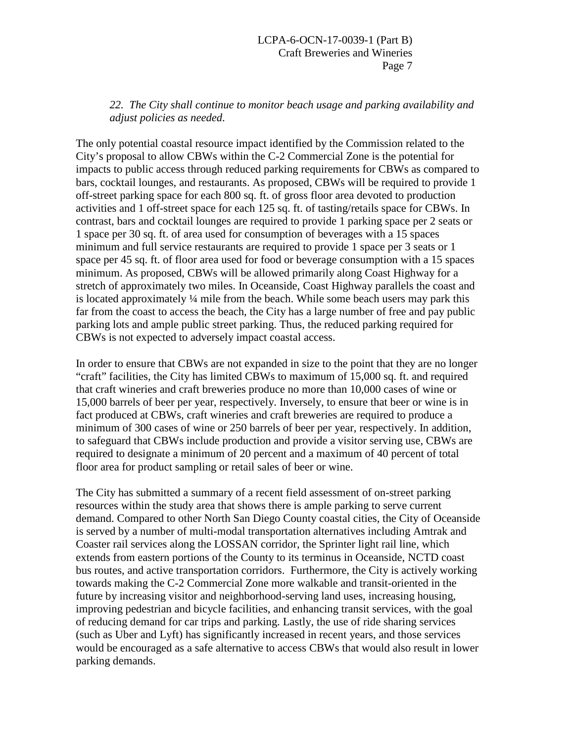*22. The City shall continue to monitor beach usage and parking availability and adjust policies as needed.* 

The only potential coastal resource impact identified by the Commission related to the City's proposal to allow CBWs within the C-2 Commercial Zone is the potential for impacts to public access through reduced parking requirements for CBWs as compared to bars, cocktail lounges, and restaurants. As proposed, CBWs will be required to provide 1 off-street parking space for each 800 sq. ft. of gross floor area devoted to production activities and 1 off-street space for each 125 sq. ft. of tasting/retails space for CBWs. In contrast, bars and cocktail lounges are required to provide 1 parking space per 2 seats or 1 space per 30 sq. ft. of area used for consumption of beverages with a 15 spaces minimum and full service restaurants are required to provide 1 space per 3 seats or 1 space per 45 sq. ft. of floor area used for food or beverage consumption with a 15 spaces minimum. As proposed, CBWs will be allowed primarily along Coast Highway for a stretch of approximately two miles. In Oceanside, Coast Highway parallels the coast and is located approximately ¼ mile from the beach. While some beach users may park this far from the coast to access the beach, the City has a large number of free and pay public parking lots and ample public street parking. Thus, the reduced parking required for CBWs is not expected to adversely impact coastal access.

In order to ensure that CBWs are not expanded in size to the point that they are no longer "craft" facilities, the City has limited CBWs to maximum of 15,000 sq. ft. and required that craft wineries and craft breweries produce no more than 10,000 cases of wine or 15,000 barrels of beer per year, respectively. Inversely, to ensure that beer or wine is in fact produced at CBWs, craft wineries and craft breweries are required to produce a minimum of 300 cases of wine or 250 barrels of beer per year, respectively. In addition, to safeguard that CBWs include production and provide a visitor serving use, CBWs are required to designate a minimum of 20 percent and a maximum of 40 percent of total floor area for product sampling or retail sales of beer or wine.

The City has submitted a summary of a recent field assessment of on-street parking resources within the study area that shows there is ample parking to serve current demand. Compared to other North San Diego County coastal cities, the City of Oceanside is served by a number of multi-modal transportation alternatives including Amtrak and Coaster rail services along the LOSSAN corridor, the Sprinter light rail line, which extends from eastern portions of the County to its terminus in Oceanside, NCTD coast bus routes, and active transportation corridors. Furthermore, the City is actively working towards making the C-2 Commercial Zone more walkable and transit-oriented in the future by increasing visitor and neighborhood-serving land uses, increasing housing, improving pedestrian and bicycle facilities, and enhancing transit services, with the goal of reducing demand for car trips and parking. Lastly, the use of ride sharing services (such as Uber and Lyft) has significantly increased in recent years, and those services would be encouraged as a safe alternative to access CBWs that would also result in lower parking demands.